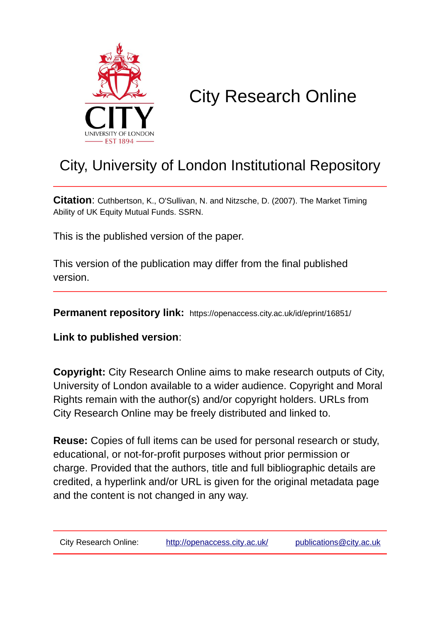

# City Research Online

## City, University of London Institutional Repository

**Citation**: Cuthbertson, K., O'Sullivan, N. and Nitzsche, D. (2007). The Market Timing Ability of UK Equity Mutual Funds. SSRN.

This is the published version of the paper.

This version of the publication may differ from the final published version.

**Permanent repository link:** https://openaccess.city.ac.uk/id/eprint/16851/

**Link to published version**:

**Copyright:** City Research Online aims to make research outputs of City, University of London available to a wider audience. Copyright and Moral Rights remain with the author(s) and/or copyright holders. URLs from City Research Online may be freely distributed and linked to.

**Reuse:** Copies of full items can be used for personal research or study, educational, or not-for-profit purposes without prior permission or charge. Provided that the authors, title and full bibliographic details are credited, a hyperlink and/or URL is given for the original metadata page and the content is not changed in any way.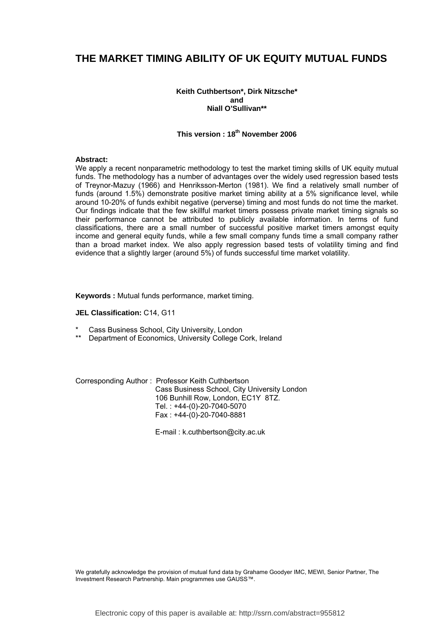### **THE MARKET TIMING ABILITY OF UK EQUITY MUTUAL FUNDS**

#### **Keith Cuthbertson\*, Dirk Nitzsche\* and Niall O'Sullivan\*\***

#### **This version : 18th November 2006**

#### **Abstract:**

We apply a recent nonparametric methodology to test the market timing skills of UK equity mutual funds. The methodology has a number of advantages over the widely used regression based tests of Treynor-Mazuy (1966) and Henriksson-Merton (1981). We find a relatively small number of funds (around 1.5%) demonstrate positive market timing ability at a 5% significance level, while around 10-20% of funds exhibit negative (perverse) timing and most funds do not time the market. Our findings indicate that the few skillful market timers possess private market timing signals so their performance cannot be attributed to publicly available information. In terms of fund classifications, there are a small number of successful positive market timers amongst equity income and general equity funds, while a few small company funds time a small company rather than a broad market index. We also apply regression based tests of volatility timing and find evidence that a slightly larger (around 5%) of funds successful time market volatility.

**Keywords :** Mutual funds performance, market timing.

#### **JEL Classification:** C14, G11

- Cass Business School, City University, London
- Department of Economics, University College Cork, Ireland

Corresponding Author : Professor Keith Cuthbertson Cass Business School, City University London 106 Bunhill Row, London, EC1Y 8TZ. Tel. : +44-(0)-20-7040-5070 Fax : +44-(0)-20-7040-8881

E-mail : k.cuthbertson@city.ac.uk

We gratefully acknowledge the provision of mutual fund data by Grahame Goodyer IMC, MEWI, Senior Partner, The Investment Research Partnership. Main programmes use GAUSS™.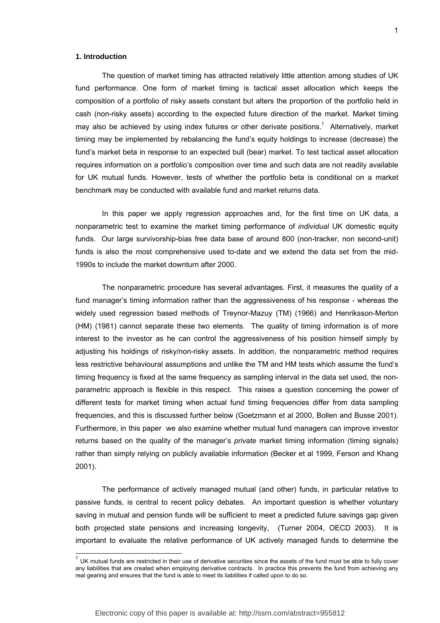#### **1. Introduction**

l

The question of market timing has attracted relatively little attention among studies of UK fund performance. One form of market timing is tactical asset allocation which keeps the composition of a portfolio of risky assets constant but alters the proportion of the portfolio held in cash (non-risky assets) according to the expected future direction of the market. Market timing may also be achieved by using index futures or other derivate positions.<sup>1</sup> Alternatively, market timing may be implemented by rebalancing the fund's equity holdings to increase (decrease) the fund's market beta in response to an expected bull (bear) market. To test tactical asset allocation requires information on a portfolio's composition over time and such data are not readily available for UK mutual funds. However, tests of whether the portfolio beta is conditional on a market benchmark may be conducted with available fund and market returns data.

In this paper we apply regression approaches and, for the first time on UK data, a nonparametric test to examine the market timing performance of *individual* UK domestic equity funds. Our large survivorship-bias free data base of around 800 (non-tracker, non second-unit) funds is also the most comprehensive used to-date and we extend the data set from the mid-1990s to include the market downturn after 2000.

The nonparametric procedure has several advantages. First, it measures the quality of a fund manager's timing information rather than the aggressiveness of his response - whereas the widely used regression based methods of Treynor-Mazuy (TM) (1966) and Henriksson-Merton (HM) (1981) cannot separate these two elements. The quality of timing information is of more interest to the investor as he can control the aggressiveness of his position himself simply by adjusting his holdings of risky/non-risky assets. In addition, the nonparametric method requires less restrictive behavioural assumptions and unlike the TM and HM tests which assume the fund's timing frequency is fixed at the same frequency as sampling interval in the data set used, the nonparametric approach is flexible in this respect. This raises a question concerning the power of different tests for market timing when actual fund timing frequencies differ from data sampling frequencies, and this is discussed further below (Goetzmann et al 2000, Bollen and Busse 2001). Furthermore, in this paper we also examine whether mutual fund managers can improve investor returns based on the quality of the manager's *private* market timing information (timing signals) rather than simply relying on publicly available information (Becker et al 1999, Ferson and Khang 2001).

The performance of actively managed mutual (and other) funds, in particular relative to passive funds, is central to recent policy debates. An important question is whether voluntary saving in mutual and pension funds will be sufficient to meet a predicted future savings gap given both projected state pensions and increasing longevity, (Turner 2004, OECD 2003). It is important to evaluate the relative performance of UK actively managed funds to determine the

 $1$  UK mutual funds are restricted in their use of derivative securities since the assets of the fund must be able to fully cover any liabilities that are created when employing derivative contracts. In practice this prevents the fund from achieving any real gearing and ensures that the fund is able to meet its liabilities if called upon to do so.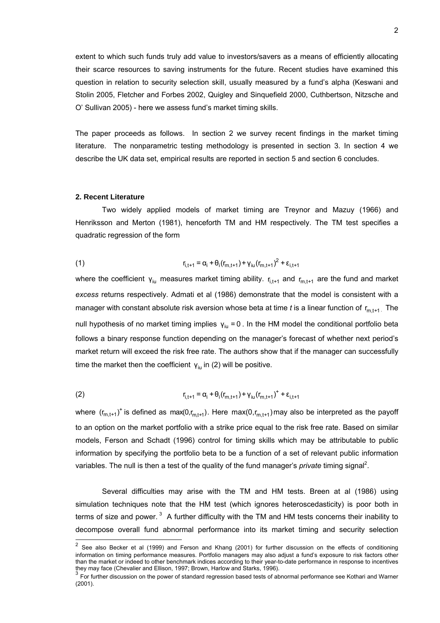extent to which such funds truly add value to investors/savers as a means of efficiently allocating their scarce resources to saving instruments for the future. Recent studies have examined this question in relation to security selection skill, usually measured by a fund's alpha (Keswani and Stolin 2005, Fletcher and Forbes 2002, Quigley and Sinquefield 2000, Cuthbertson, Nitzsche and O' Sullivan 2005) - here we assess fund's market timing skills.

The paper proceeds as follows. In section 2 we survey recent findings in the market timing literature. The nonparametric testing methodology is presented in section 3. In section 4 we describe the UK data set, empirical results are reported in section 5 and section 6 concludes.

#### **2. Recent Literature**

l

Two widely applied models of market timing are Treynor and Mazuy (1966) and Henriksson and Merton (1981), henceforth TM and HM respectively. The TM test specifies a quadratic regression of the form

(1) 
$$
r_{i,t+1} = \alpha_i + \theta_i (r_{m,t+1}) + \gamma_{i} (r_{m,t+1})^2 + \epsilon_{i,t+1}
$$

where the coefficient  $y_{ju}$  measures market timing ability.  $r_{i,t+1}$  and  $r_{m,t+1}$  are the fund and market *excess* returns respectively. Admati et al (1986) demonstrate that the model is consistent with a manager with constant absolute risk aversion whose beta at time  $t$  is a linear function of  $r_{m+t+1}$ . The null hypothesis of no market timing implies  $y_{\text{iu}} = 0$ . In the HM model the conditional portfolio beta follows a binary response function depending on the manager's forecast of whether next period's market return will exceed the risk free rate. The authors show that if the manager can successfully time the market then the coefficient  $y_{\text{in}}$  in (2) will be positive.

(2) 
$$
r_{i,t+1} = \alpha_i + \theta_i (r_{m,t+1}) + \gamma_{i} (r_{m,t+1})^+ + \varepsilon_{i,t+1}
$$

where  $(r_{m,t+1})^+$  is defined as max(0, $r_{m,t+1}$ ). Here max(0, $r_{m,t+1}$ ) may also be interpreted as the payoff to an option on the market portfolio with a strike price equal to the risk free rate. Based on similar models, Ferson and Schadt (1996) control for timing skills which may be attributable to public information by specifying the portfolio beta to be a function of a set of relevant public information variables. The null is then a test of the quality of the fund manager's *private* timing signal<sup>2</sup>.

Several difficulties may arise with the TM and HM tests. Breen at al (1986) using simulation techniques note that the HM test (which ignores heteroscedasticity) is poor both in terms of size and power.  $3\text{ }$  A further difficulty with the TM and HM tests concerns their inability to decompose overall fund abnormal performance into its market timing and security selection

 $2$  See also Becker et al (1999) and Ferson and Khang (2001) for further discussion on the effects of conditioning information on timing performance measures. Portfolio managers may also adjust a fund's exposure to risk factors other than the market or indeed to other benchmark indices according to their year-to-date performance in response to incentives

they may face (Chevalier and Ellison, 1997; Brown, Harlow and Starks, 1996).<br><sup>3</sup> For further discussion on the power of standard regression based tests of abnormal performance see Kothari and Warner (2001).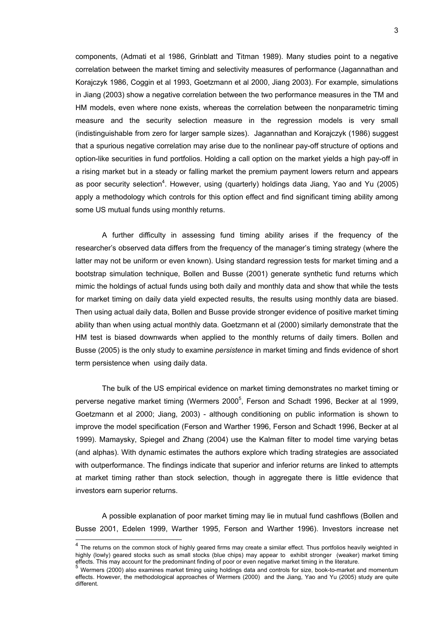components, (Admati et al 1986, Grinblatt and Titman 1989). Many studies point to a negative correlation between the market timing and selectivity measures of performance (Jagannathan and Korajczyk 1986, Coggin et al 1993, Goetzmann et al 2000, Jiang 2003). For example, simulations in Jiang (2003) show a negative correlation between the two performance measures in the TM and HM models, even where none exists, whereas the correlation between the nonparametric timing measure and the security selection measure in the regression models is very small (indistinguishable from zero for larger sample sizes). Jagannathan and Korajczyk (1986) suggest that a spurious negative correlation may arise due to the nonlinear pay-off structure of options and option-like securities in fund portfolios. Holding a call option on the market yields a high pay-off in a rising market but in a steady or falling market the premium payment lowers return and appears as poor security selection<sup>4</sup>. However, using (quarterly) holdings data Jiang, Yao and Yu (2005) apply a methodology which controls for this option effect and find significant timing ability among some US mutual funds using monthly returns.

A further difficulty in assessing fund timing ability arises if the frequency of the researcher's observed data differs from the frequency of the manager's timing strategy (where the latter may not be uniform or even known). Using standard regression tests for market timing and a bootstrap simulation technique, Bollen and Busse (2001) generate synthetic fund returns which mimic the holdings of actual funds using both daily and monthly data and show that while the tests for market timing on daily data yield expected results, the results using monthly data are biased. Then using actual daily data, Bollen and Busse provide stronger evidence of positive market timing ability than when using actual monthly data. Goetzmann et al (2000) similarly demonstrate that the HM test is biased downwards when applied to the monthly returns of daily timers. Bollen and Busse (2005) is the only study to examine *persistence* in market timing and finds evidence of short term persistence when using daily data.

The bulk of the US empirical evidence on market timing demonstrates no market timing or perverse negative market timing (Wermers 2000<sup>5</sup>, Ferson and Schadt 1996, Becker at al 1999, Goetzmann et al 2000; Jiang, 2003) - although conditioning on public information is shown to improve the model specification (Ferson and Warther 1996, Ferson and Schadt 1996, Becker at al 1999). Mamaysky, Spiegel and Zhang (2004) use the Kalman filter to model time varying betas (and alphas). With dynamic estimates the authors explore which trading strategies are associated with outperformance. The findings indicate that superior and inferior returns are linked to attempts at market timing rather than stock selection, though in aggregate there is little evidence that investors earn superior returns.

A possible explanation of poor market timing may lie in mutual fund cashflows (Bollen and Busse 2001, Edelen 1999, Warther 1995, Ferson and Warther 1996). Investors increase net

l

 $4$  The returns on the common stock of highly geared firms may create a similar effect. Thus portfolios heavily weighted in highly (lowly) geared stocks such as small stocks (blue chips) may appear to exhibit stronger (weaker) market timing of the prediment finding of poor or even negative market timing in the literature.<br>This may account for the predominant finding of poor or even negative market timing in the literature.<br><sup>5</sup> Wermers (2000) also examines mar

effects. However, the methodological approaches of Wermers (2000) and the Jiang, Yao and Yu (2005) study are quite different.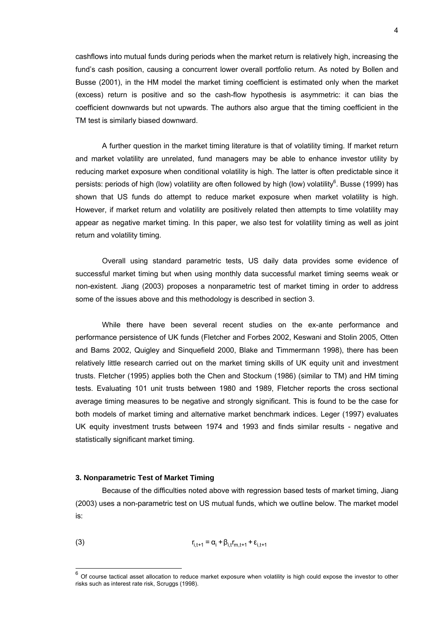cashflows into mutual funds during periods when the market return is relatively high, increasing the fund's cash position, causing a concurrent lower overall portfolio return. As noted by Bollen and Busse (2001), in the HM model the market timing coefficient is estimated only when the market (excess) return is positive and so the cash-flow hypothesis is asymmetric: it can bias the coefficient downwards but not upwards. The authors also argue that the timing coefficient in the TM test is similarly biased downward.

A further question in the market timing literature is that of volatility timing. If market return and market volatility are unrelated, fund managers may be able to enhance investor utility by reducing market exposure when conditional volatility is high. The latter is often predictable since it persists: periods of high (low) volatility are often followed by high (low) volatility<sup>6</sup>. Busse (1999) has shown that US funds do attempt to reduce market exposure when market volatility is high. However, if market return and volatility are positively related then attempts to time volatility may appear as negative market timing. In this paper, we also test for volatility timing as well as joint return and volatility timing.

Overall using standard parametric tests, US daily data provides some evidence of successful market timing but when using monthly data successful market timing seems weak or non-existent. Jiang (2003) proposes a nonparametric test of market timing in order to address some of the issues above and this methodology is described in section 3.

While there have been several recent studies on the ex-ante performance and performance persistence of UK funds (Fletcher and Forbes 2002, Keswani and Stolin 2005, Otten and Bams 2002, Quigley and Sinquefield 2000, Blake and Timmermann 1998), there has been relatively little research carried out on the market timing skills of UK equity unit and investment trusts. Fletcher (1995) applies both the Chen and Stockum (1986) (similar to TM) and HM timing tests. Evaluating 101 unit trusts between 1980 and 1989, Fletcher reports the cross sectional average timing measures to be negative and strongly significant. This is found to be the case for both models of market timing and alternative market benchmark indices. Leger (1997) evaluates UK equity investment trusts between 1974 and 1993 and finds similar results - negative and statistically significant market timing.

#### **3. Nonparametric Test of Market Timing**

 $\overline{a}$ 

Because of the difficulties noted above with regression based tests of market timing, Jiang (2003) uses a non-parametric test on US mutual funds, which we outline below. The market model is:

(3) 
$$
r_{i,t+1} = \alpha_i + \beta_{i,t} r_{m,t+1} + \varepsilon_{i,t+1}
$$

 $6$  Of course tactical asset allocation to reduce market exposure when volatility is high could expose the investor to other risks such as interest rate risk, Scruggs (1998).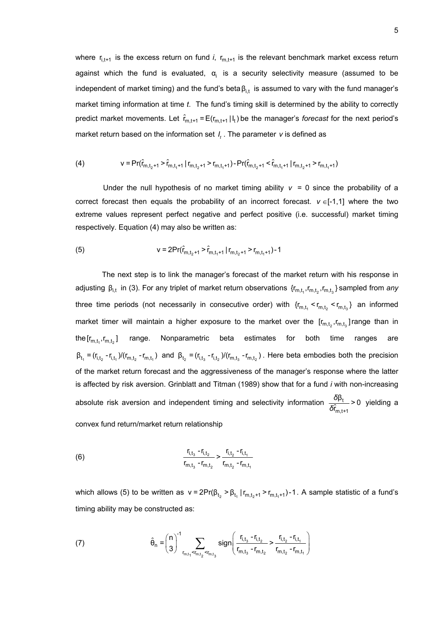where  $r_{i,t+1}$  is the excess return on fund *i*,  $r_{m,t+1}$  is the relevant benchmark market excess return against which the fund is evaluated,  $\alpha_i$  is a security selectivity measure (assumed to be independent of market timing) and the fund's beta $\beta_{i,t}$  is assumed to vary with the fund manager's market timing information at time *t*. The fund's timing skill is determined by the ability to correctly predict market movements. Let  $\hat{r}_{m,t+1} = E(r_{m,t+1} | I_t)$  be the manager's *forecast* for the next period's market return based on the information set *I*. The parameter *v* is defined as

(4) 
$$
v = Pr(\hat{r}_{m,t_2+1} > \hat{r}_{m,t_1+1} | r_{m,t_2+1} > r_{m,t_1+1}) - Pr(\hat{r}_{m,t_2+1} < \hat{r}_{m,t_1+1} | r_{m,t_2+1} > r_{m,t_1+1})
$$

Under the null hypothesis of no market timing ability  $v = 0$  since the probability of a correct forecast then equals the probability of an incorrect forecast. *ν* ∈[-1,1] where the two extreme values represent perfect negative and perfect positive (i.e. successful) market timing respectively. Equation (4) may also be written as:

(5) 
$$
v = 2Pr(\hat{r}_{m,t_2+1} > \hat{r}_{m,t_1+1} | r_{m,t_2+1} > r_{m,t_1+1}) - 1
$$

The next step is to link the manager's forecast of the market return with his response in adjusting β<sub>i,t</sub> in (3). For any triplet of market return observations  $\{r_{m,t_1}, r_{m,t_2}, r_{m,t_3}\}$  sampled from *any* three time periods (not necessarily in consecutive order) with  ${r_{m,t}} {r_{m,t}} {r_{m,t}} {r_{m,t}}$  an informed market timer will maintain a higher exposure to the market over the  $[r_{m,t_1},r_{m,t_2}]$  range than in the  $[r_{m,t},r_{m,t} ]$  range. Nonparametric beta estimates for both time ranges are  $\beta_{t_1} = (r_{i,t_2} - r_{i,t_1})/(r_{m,t_2} - r_{m,t_1})$  and  $\beta_{t_2} = (r_{i,t_2} - r_{i,t_2})/(r_{m,t_2} - r_{m,t_2})$ . Here beta embodies both the precision of the market return forecast and the aggressiveness of the manager's response where the latter is affected by risk aversion. Grinblatt and Titman (1989) show that for a fund *i* with non-increasing absolute risk aversion and independent timing and selectivity information  $\frac{\partial P_t}{\partial \hat{f}_{n,t}}$ m,t+1  $\frac{\delta \beta_{t}}{\hat{r}_{m:t+1}}$  > 0  $rac{\delta \beta_t}{\delta \hat{r}_{m t+1}}$  > 0 yielding a convex fund return/market return relationship

(6) 
$$
\frac{r_{i,t_3} - r_{i,t_2}}{r_{m,t_3} - r_{m,t_2}} > \frac{r_{i,t_2} - r_{i,t_1}}{r_{m,t_2} - r_{m,t_1}}
$$

which allows (5) to be written as  $v = 2Pr(\beta_{t_2} > \beta_{t_1} | r_{m,t_2+1} > r_{m,t_1+1})-1$ . A sample statistic of a fund's timing ability may be constructed as:

(7) 
$$
\hat{\theta}_{n} = {n \choose 3}^{-1} \sum_{r_{m,t_{1}} < r_{m,t_{2}} < r_{m,t_{3}}} sign \left( \frac{r_{i,t_{3}} - r_{i,t_{2}}}{r_{m,t_{3}} - r_{m,t_{2}}} > \frac{r_{i,t_{2}} - r_{i,t_{1}}}{r_{m,t_{2}} - r_{m,t_{1}}} \right)
$$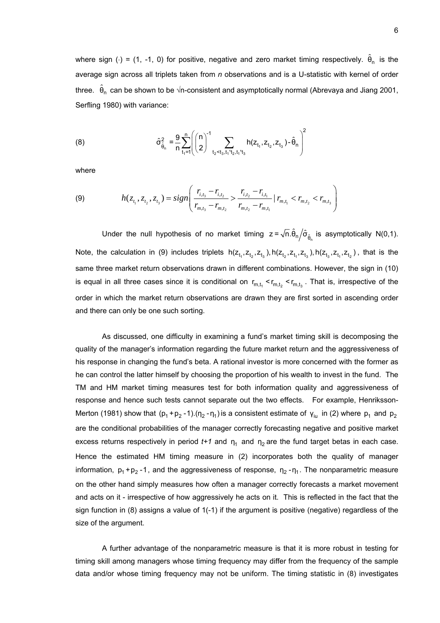where sign (⋅) = (1, -1, 0) for positive, negative and zero market timing respectively.  $\hat{\theta}_n$  is the average sign across all triplets taken from *n* observations and is a U-statistic with kernel of order three.  $\hat{\theta}_n$  can be shown to be √n-consistent and asymptotically normal (Abrevaya and Jiang 2001, Serfling 1980) with variance:

(8) 
$$
\hat{\sigma}_{\hat{\theta}_n}^2 = \frac{9}{n} \sum_{t_1=1}^n \left( {n \choose 2}^{-1} \sum_{t_2 < t_3, t_1 \atop t_2 < t_3, t_1 \atop t_2, t_1 \atop t_3} h(z_{t_1}, z_{t_2}, z_{t_3}) - \hat{\theta}_n \right)^2
$$

where

(9) 
$$
h(z_{t_1}, z_{t_2}, z_{t_3}) = sign\left(\frac{r_{i,t_3} - r_{i,t_2}}{r_{m,t_3} - r_{m,t_2}} > \frac{r_{i,t_2} - r_{i,t_1}}{r_{m,t_2} - r_{m,t_1}} \mid r_{m,t_1} < r_{m,t_2} < r_{m,t_3}\right)
$$

Under the null hypothesis of no market timing  $z = \sqrt{n} \cdot \hat{\theta}_n / \hat{\sigma}_{\hat{\theta}_n}$  is asymptotically N(0,1). Note, the calculation in (9) includes triplets  $h(z_t, z_t, z_t, z_t, h(z_t, z_t, z_t, h(z_t, z_t, z_t, z_t))$ , that is the same three market return observations drawn in different combinations. However, the sign in (10) is equal in all three cases since it is conditional on  $r_{m,t_1}$  <  $r_{m,t_2}$  <  $r_{m,t_3}$ . That is, irrespective of the order in which the market return observations are drawn they are first sorted in ascending order and there can only be one such sorting.

As discussed, one difficulty in examining a fund's market timing skill is decomposing the quality of the manager's information regarding the future market return and the aggressiveness of his response in changing the fund's beta. A rational investor is more concerned with the former as he can control the latter himself by choosing the proportion of his wealth to invest in the fund. The TM and HM market timing measures test for both information quality and aggressiveness of response and hence such tests cannot separate out the two effects. For example, Henriksson-Merton (1981) show that  $(p_1 + p_2 - 1) \cdot (n_2 - n_1)$  is a consistent estimate of  $\gamma_{iu}$  in (2) where  $p_1$  and  $p_2$ are the conditional probabilities of the manager correctly forecasting negative and positive market excess returns respectively in period  $t+1$  and  $\eta_1$  and  $\eta_2$  are the fund target betas in each case. Hence the estimated HM timing measure in (2) incorporates both the quality of manager information,  $p_1 + p_2 - 1$ , and the aggressiveness of response,  $n_2 - n_1$ . The nonparametric measure on the other hand simply measures how often a manager correctly forecasts a market movement and acts on it - irrespective of how aggressively he acts on it. This is reflected in the fact that the sign function in (8) assigns a value of 1(-1) if the argument is positive (negative) regardless of the size of the argument.

 A further advantage of the nonparametric measure is that it is more robust in testing for timing skill among managers whose timing frequency may differ from the frequency of the sample data and/or whose timing frequency may not be uniform. The timing statistic in (8) investigates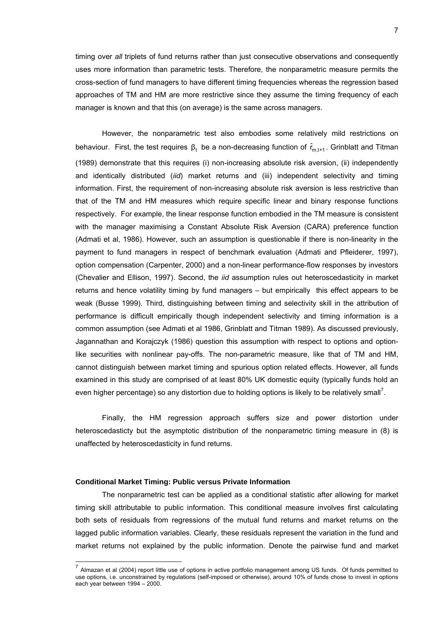timing over *all* triplets of fund returns rather than just consecutive observations and consequently uses more information than parametric tests. Therefore, the nonparametric measure permits the cross-section of fund managers to have different timing frequencies whereas the regression based approaches of TM and HM are more restrictive since they assume the timing frequency of each manager is known and that this (on average) is the same across managers.

 However, the nonparametric test also embodies some relatively mild restrictions on behaviour. First, the test requires  $\beta_t$  be a non-decreasing function of  $\hat{r}_{m,t+1}$ . Grinblatt and Titman (1989) demonstrate that this requires (i) non-increasing absolute risk aversion, (ii) independently and identically distributed (*iid*) market returns and (iii) independent selectivity and timing information. First, the requirement of non-increasing absolute risk aversion is less restrictive than that of the TM and HM measures which require specific linear and binary response functions respectively. For example, the linear response function embodied in the TM measure is consistent with the manager maximising a Constant Absolute Risk Aversion (CARA) preference function (Admati et al, 1986). However, such an assumption is questionable if there is non-linearity in the payment to fund managers in respect of benchmark evaluation (Admati and Pfleiderer, 1997), option compensation (Carpenter, 2000) and a non-linear performance-flow responses by investors (Chevalier and Ellison, 1997). Second, the *iid* assumption rules out heteroscedasticity in market returns and hence volatility timing by fund managers – but empirically this effect appears to be weak (Busse 1999). Third, distinguishing between timing and selectivity skill in the attribution of performance is difficult empirically though independent selectivity and timing information is a common assumption (see Admati et al 1986, Grinblatt and Titman 1989). As discussed previously, Jagannathan and Korajczyk (1986) question this assumption with respect to options and optionlike securities with nonlinear pay-offs. The non-parametric measure, like that of TM and HM, cannot distinguish between market timing and spurious option related effects. However, all funds examined in this study are comprised of at least 80% UK domestic equity (typically funds hold an even higher percentage) so any distortion due to holding options is likely to be relatively small<sup>7</sup>.

Finally, the HM regression approach suffers size and power distortion under heteroscedasticty but the asymptotic distribution of the nonparametric timing measure in (8) is unaffected by heteroscedasticity in fund returns.

#### **Conditional Market Timing: Public versus Private Information**

l

The nonparametric test can be applied as a conditional statistic after allowing for market timing skill attributable to public information. This conditional measure involves first calculating both sets of residuals from regressions of the mutual fund returns and market returns on the lagged public information variables. Clearly, these residuals represent the variation in the fund and market returns not explained by the public information. Denote the pairwise fund and market

 $7$  Almazan et al (2004) report little use of options in active portfolio management among US funds. Of funds permitted to use options, i.e. unconstrained by regulations (self-imposed or otherwise), around 10% of funds chose to invest in options each year between 1994 – 2000.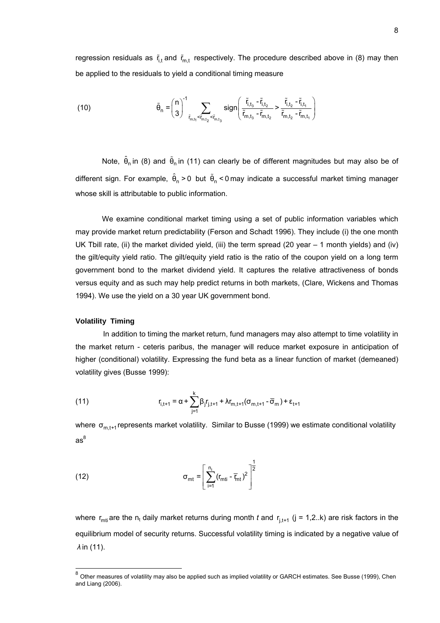regression residuals as  $\tilde{r}_{i,t}$  and  $\tilde{r}_{m,t}$  respectively. The procedure described above in (8) may then be applied to the residuals to yield a conditional timing measure

(10) 
$$
\tilde{\theta}_{n} = {n \choose 3}^{1} \sum_{\tilde{r}_{m,t_{1}} < \tilde{r}_{m,t_{2}}} sign\left(\frac{\tilde{r}_{i,t_{3}} - \tilde{r}_{i,t_{2}}}{\tilde{r}_{m,t_{3}} + \tilde{r}_{m,t_{3}} - \tilde{r}_{m,t_{2}}} > \frac{\tilde{r}_{i,t_{2}} - \tilde{r}_{i,t_{1}}}{\tilde{r}_{m,t_{2}} - \tilde{r}_{m,t_{1}}}\right)
$$

Note,  $\hat{\theta}_n$  in (8) and  $\tilde{\theta}_n$  in (11) can clearly be of different magnitudes but may also be of different sign. For example,  $\hat{\theta}_n > 0$  but  $\tilde{\theta}_n < 0$  may indicate a successful market timing manager whose skill is attributable to public information.

 We examine conditional market timing using a set of public information variables which may provide market return predictability (Ferson and Schadt 1996). They include (i) the one month UK Tbill rate, (ii) the market divided yield, (iii) the term spread (20 year – 1 month yields) and (iv) the gilt/equity yield ratio. The gilt/equity yield ratio is the ratio of the coupon yield on a long term government bond to the market dividend yield. It captures the relative attractiveness of bonds versus equity and as such may help predict returns in both markets, (Clare, Wickens and Thomas 1994). We use the yield on a 30 year UK government bond.

#### **Volatility Timing**

 $\overline{a}$ 

 In addition to timing the market return, fund managers may also attempt to time volatility in the market return - ceteris paribus, the manager will reduce market exposure in anticipation of higher (conditional) volatility. Expressing the fund beta as a linear function of market (demeaned) volatility gives (Busse 1999):

(11) 
$$
r_{i,t+1} = \alpha + \sum_{j=1}^{k} \beta_j r_{j,t+1} + \lambda r_{m,t+1} (\sigma_{m,t+1} - \overline{\sigma}_m) + \varepsilon_{t+1}
$$

where  $\sigma_{m,t+1}$  represents market volatility. Similar to Busse (1999) we estimate conditional volatility as $^8\,$ 

(12) 
$$
\sigma_{\text{mt}} = \left[\sum_{i=1}^{n_{\text{t}}} (r_{\text{mt}i} - \overline{r}_{\text{mt}})^2\right]^{\frac{1}{2}}
$$

where  $r_{\text{mit}}$  are the n<sub>t</sub> daily market returns during month *t* and  $r_{i,t+1}$  (j = 1,2..k) are risk factors in the equilibrium model of security returns. Successful volatility timing is indicated by a negative value of *λ* in (11).

 $^8$  Other measures of volatility may also be applied such as implied volatility or GARCH estimates. See Busse (1999), Chen and Liang (2006).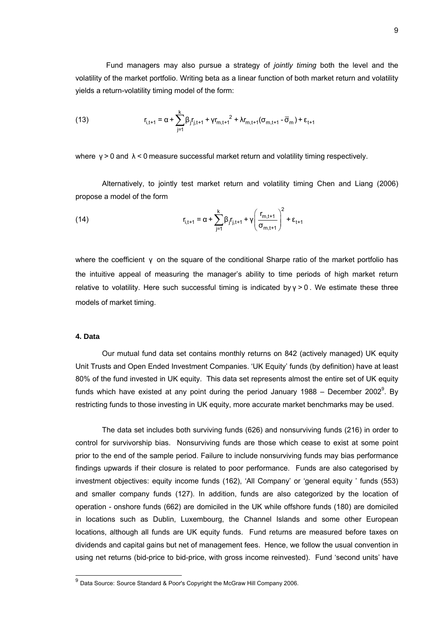Fund managers may also pursue a strategy of *jointly timing* both the level and the volatility of the market portfolio. Writing beta as a linear function of both market return and volatility yields a return-volatility timing model of the form:

(13) 
$$
r_{i,t+1} = \alpha + \sum_{j=1}^{k} \beta_j r_{j,t+1} + \gamma r_{m,t+1}^2 + \lambda r_{m,t+1} (\sigma_{m,t+1} - \overline{\sigma}_m) + \varepsilon_{t+1}
$$

where  $y > 0$  and  $\lambda < 0$  measure successful market return and volatility timing respectively.

Alternatively, to jointly test market return and volatility timing Chen and Liang (2006) propose a model of the form

(14) 
$$
r_{i,t+1} = \alpha + \sum_{j=1}^{k} \beta_j r_{j,t+1} + \gamma \left( \frac{r_{m,t+1}}{\sigma_{m,t+1}} \right)^2 + \epsilon_{t+1}
$$

where the coefficient γ on the square of the conditional Sharpe ratio of the market portfolio has the intuitive appeal of measuring the manager's ability to time periods of high market return relative to volatility. Here such successful timing is indicated by  $y > 0$ . We estimate these three models of market timing.

#### **4. Data**

l

Our mutual fund data set contains monthly returns on 842 (actively managed) UK equity Unit Trusts and Open Ended Investment Companies. 'UK Equity' funds (by definition) have at least 80% of the fund invested in UK equity. This data set represents almost the entire set of UK equity funds which have existed at any point during the period January 1988 – December 2002<sup>9</sup>. By restricting funds to those investing in UK equity, more accurate market benchmarks may be used.

The data set includes both surviving funds (626) and nonsurviving funds (216) in order to control for survivorship bias. Nonsurviving funds are those which cease to exist at some point prior to the end of the sample period. Failure to include nonsurviving funds may bias performance findings upwards if their closure is related to poor performance. Funds are also categorised by investment objectives: equity income funds (162), 'All Company' or 'general equity ' funds (553) and smaller company funds (127). In addition, funds are also categorized by the location of operation - onshore funds (662) are domiciled in the UK while offshore funds (180) are domiciled in locations such as Dublin, Luxembourg, the Channel Islands and some other European locations, although all funds are UK equity funds. Fund returns are measured before taxes on dividends and capital gains but net of management fees. Hence, we follow the usual convention in using net returns (bid-price to bid-price, with gross income reinvested). Fund 'second units' have

 $^9$  Data Source: Source Standard & Poor's Copyright the McGraw Hill Company 2006.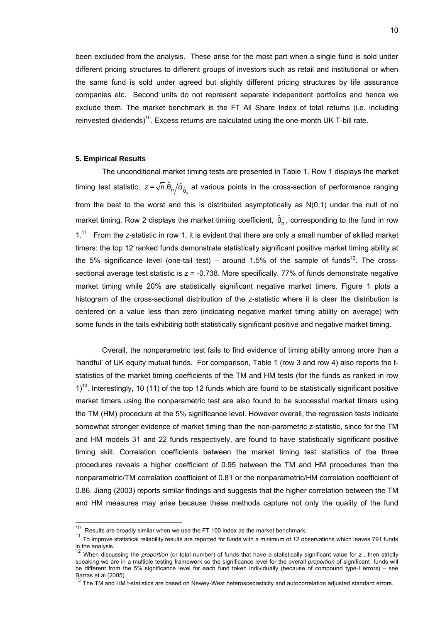been excluded from the analysis. These arise for the most part when a single fund is sold under different pricing structures to different groups of investors such as retail and institutional or when the same fund is sold under agreed but slightly different pricing structures by life assurance companies etc. Second units do not represent separate independent portfolios and hence we exclude them. The market benchmark is the FT All Share Index of total returns (i.e. including reinvested dividends)<sup>10</sup>. Excess returns are calculated using the one-month UK T-bill rate.

#### **5. Empirical Results**

The unconditional market timing tests are presented in Table 1. Row 1 displays the market timing test statistic,  $z = \sqrt{n}.\hat{\theta}_n/\hat{\sigma}_{\hat{\theta}_n}$  at various points in the cross-section of performance ranging from the best to the worst and this is distributed asymptotically as N(0,1) under the null of no market timing. Row 2 displays the market timing coefficient,  $\hat{\theta}_n$ , corresponding to the fund in row  $1<sup>11</sup>$  From the z-statistic in row 1, it is evident that there are only a small number of skilled market timers: the top 12 ranked funds demonstrate statistically significant positive market timing ability at the 5% significance level (one-tail test) – around 1.5% of the sample of funds<sup>12</sup>. The crosssectional average test statistic is  $z = -0.738$ . More specifically, 77% of funds demonstrate negative market timing while 20% are statistically significant negative market timers. Figure 1 plots a histogram of the cross-sectional distribution of the z-statistic where it is clear the distribution is centered on a value less than zero (indicating negative market timing ability on average) with some funds in the tails exhibiting both statistically significant positive and negative market timing.

Overall, the nonparametric test fails to find evidence of timing ability among more than a 'handful' of UK equity mutual funds. For comparison, Table 1 (row 3 and row 4) also reports the tstatistics of the market timing coefficients of the TM and HM tests (for the funds as ranked in row  $1$ <sup>13</sup>. Interestingly, 10 (11) of the top 12 funds which are found to be statistically significant positive market timers using the nonparametric test are also found to be successful market timers using the TM (HM) procedure at the 5% significance level. However overall, the regression tests indicate somewhat stronger evidence of market timing than the non-parametric z-statistic, since for the TM and HM models 31 and 22 funds respectively, are found to have statistically significant positive timing skill. Correlation coefficients between the market timing test statistics of the three procedures reveals a higher coefficient of 0.95 between the TM and HM procedures than the nonparametric/TM correlation coefficient of 0.81 or the nonparametric/HM correlation coefficient of 0.86. Jiang (2003) reports similar findings and suggests that the higher correlation between the TM and HM measures may arise because these methods capture not only the quality of the fund

 $10$  Results are broadly similar when we use the FT 100 index as the market benchmark.

 $11$  To improve statistical reliability results are reported for funds with a minimum of 12 observations which leaves 791 funds

in the analysis.<br><sup>12</sup> When discussing the *proportion* (or total number) of funds that have a statistically significant value for z , then strictly speaking we are in a multiple testing framework so the significance level for the overall *proportion* of significant funds will be different from the 5% significance level for each fund taken individually (because of compound type-I errors) – see Barras et al (2005).

The TM and HM t-statistics are based on Newey-West heteroscedasticity and autocorrelation adjusted standard errors.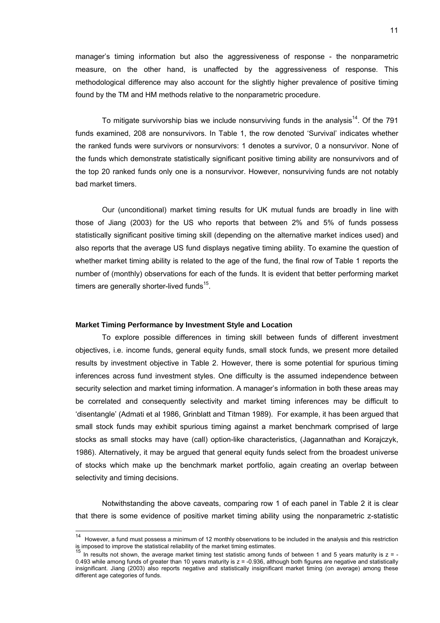manager's timing information but also the aggressiveness of response - the nonparametric measure, on the other hand, is unaffected by the aggressiveness of response. This methodological difference may also account for the slightly higher prevalence of positive timing found by the TM and HM methods relative to the nonparametric procedure.

To mitigate survivorship bias we include nonsurviving funds in the analysis<sup>14</sup>. Of the 791 funds examined, 208 are nonsurvivors. In Table 1, the row denoted 'Survival' indicates whether the ranked funds were survivors or nonsurvivors: 1 denotes a survivor, 0 a nonsurvivor. None of the funds which demonstrate statistically significant positive timing ability are nonsurvivors and of the top 20 ranked funds only one is a nonsurvivor. However, nonsurviving funds are not notably bad market timers.

Our (unconditional) market timing results for UK mutual funds are broadly in line with those of Jiang (2003) for the US who reports that between 2% and 5% of funds possess statistically significant positive timing skill (depending on the alternative market indices used) and also reports that the average US fund displays negative timing ability. To examine the question of whether market timing ability is related to the age of the fund, the final row of Table 1 reports the number of (monthly) observations for each of the funds. It is evident that better performing market timers are generally shorter-lived funds $15$ .

#### **Market Timing Performance by Investment Style and Location**

l

To explore possible differences in timing skill between funds of different investment objectives, i.e. income funds, general equity funds, small stock funds, we present more detailed results by investment objective in Table 2. However, there is some potential for spurious timing inferences across fund investment styles. One difficulty is the assumed independence between security selection and market timing information. A manager's information in both these areas may be correlated and consequently selectivity and market timing inferences may be difficult to 'disentangle' (Admati et al 1986, Grinblatt and Titman 1989). For example, it has been argued that small stock funds may exhibit spurious timing against a market benchmark comprised of large stocks as small stocks may have (call) option-like characteristics, (Jagannathan and Korajczyk, 1986). Alternatively, it may be argued that general equity funds select from the broadest universe of stocks which make up the benchmark market portfolio, again creating an overlap between selectivity and timing decisions.

Notwithstanding the above caveats, comparing row 1 of each panel in Table 2 it is clear that there is some evidence of positive market timing ability using the nonparametric z-statistic

<sup>&</sup>lt;sup>14</sup> However, a fund must possess a minimum of 12 monthly observations to be included in the analysis and this restriction is imposed to improve the statistical reliability of the market timing estimates.<br><sup>15</sup> In results not shown, the average market timing test statistic among funds of between 1 and 5 years maturity is z = -

<sup>0.493</sup> while among funds of greater than 10 years maturity is  $z = -0.936$ , although both figures are negative and statistically insignificant. Jiang (2003) also reports negative and statistically insignificant market timing (on average) among these different age categories of funds.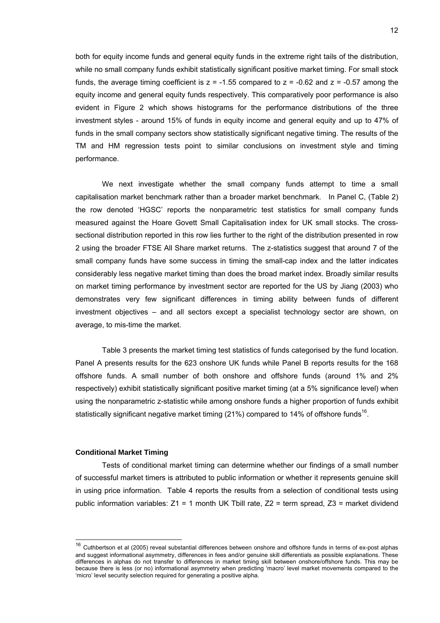both for equity income funds and general equity funds in the extreme right tails of the distribution, while no small company funds exhibit statistically significant positive market timing. For small stock funds, the average timing coefficient is  $z = -1.55$  compared to  $z = -0.62$  and  $z = -0.57$  among the equity income and general equity funds respectively. This comparatively poor performance is also evident in Figure 2 which shows histograms for the performance distributions of the three investment styles - around 15% of funds in equity income and general equity and up to 47% of funds in the small company sectors show statistically significant negative timing. The results of the TM and HM regression tests point to similar conclusions on investment style and timing performance.

We next investigate whether the small company funds attempt to time a small capitalisation market benchmark rather than a broader market benchmark. In Panel C, (Table 2) the row denoted 'HGSC' reports the nonparametric test statistics for small company funds measured against the Hoare Govett Small Capitalisation index for UK small stocks. The crosssectional distribution reported in this row lies further to the right of the distribution presented in row 2 using the broader FTSE All Share market returns. The z-statistics suggest that around 7 of the small company funds have some success in timing the small-cap index and the latter indicates considerably less negative market timing than does the broad market index. Broadly similar results on market timing performance by investment sector are reported for the US by Jiang (2003) who demonstrates very few significant differences in timing ability between funds of different investment objectives – and all sectors except a specialist technology sector are shown, on average, to mis-time the market.

Table 3 presents the market timing test statistics of funds categorised by the fund location. Panel A presents results for the 623 onshore UK funds while Panel B reports results for the 168 offshore funds. A small number of both onshore and offshore funds (around 1% and 2% respectively) exhibit statistically significant positive market timing (at a 5% significance level) when using the nonparametric z-statistic while among onshore funds a higher proportion of funds exhibit statistically significant negative market timing  $(21%)$  compared to 14% of offshore funds<sup>16</sup>.

#### **Conditional Market Timing**

l

Tests of conditional market timing can determine whether our findings of a small number of successful market timers is attributed to public information or whether it represents genuine skill in using price information. Table 4 reports the results from a selection of conditional tests using public information variables: Z1 = 1 month UK Tbill rate, Z2 = term spread, Z3 = market dividend

<sup>&</sup>lt;sup>16</sup> Cuthbertson et al (2005) reveal substantial differences between onshore and offshore funds in terms of ex-post alphas and suggest informational asymmetry, differences in fees and/or genuine skill differentials as possible explanations. These differences in alphas do not transfer to differences in market timing skill between onshore/offshore funds. This may be because there is less (or no) informational asymmetry when predicting 'macro' level market movements compared to the 'micro' level security selection required for generating a positive alpha.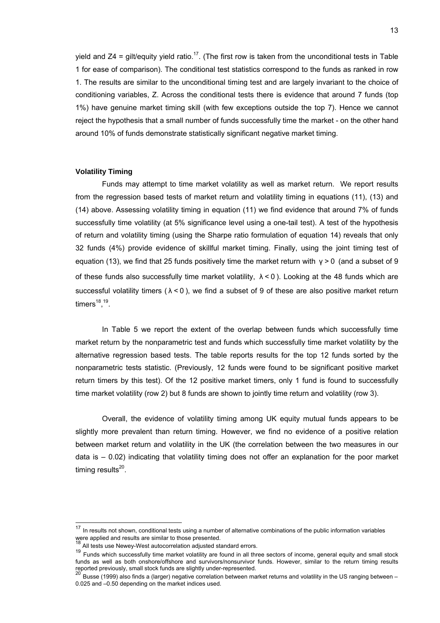yield and  $Z4$  = gilt/equity yield ratio.<sup>17</sup>. (The first row is taken from the unconditional tests in Table 1 for ease of comparison). The conditional test statistics correspond to the funds as ranked in row 1. The results are similar to the unconditional timing test and are largely invariant to the choice of conditioning variables, Z. Across the conditional tests there is evidence that around 7 funds (top 1%) have genuine market timing skill (with few exceptions outside the top 7). Hence we cannot reject the hypothesis that a small number of funds successfully time the market - on the other hand around 10% of funds demonstrate statistically significant negative market timing.

#### **Volatility Timing**

Funds may attempt to time market volatility as well as market return. We report results from the regression based tests of market return and volatility timing in equations (11), (13) and (14) above. Assessing volatility timing in equation (11) we find evidence that around 7% of funds successfully time volatility (at 5% significance level using a one-tail test). A test of the hypothesis of return and volatility timing (using the Sharpe ratio formulation of equation 14) reveals that only 32 funds (4%) provide evidence of skillful market timing. Finally, using the joint timing test of equation (13), we find that 25 funds positively time the market return with  $γ > 0$  (and a subset of 9 of these funds also successfully time market volatility,  $\lambda$  < 0). Looking at the 48 funds which are successful volatility timers ( $\lambda$  < 0), we find a subset of 9 of these are also positive market return timers<sup>18</sup>,<sup>19</sup>.

In Table 5 we report the extent of the overlap between funds which successfully time market return by the nonparametric test and funds which successfully time market volatility by the alternative regression based tests. The table reports results for the top 12 funds sorted by the nonparametric tests statistic. (Previously, 12 funds were found to be significant positive market return timers by this test). Of the 12 positive market timers, only 1 fund is found to successfully time market volatility (row 2) but 8 funds are shown to jointly time return and volatility (row 3).

 Overall, the evidence of volatility timing among UK equity mutual funds appears to be slightly more prevalent than return timing. However, we find no evidence of a positive relation between market return and volatility in the UK (the correlation between the two measures in our data is – 0.02) indicating that volatility timing does not offer an explanation for the poor market timing results $^{20}$ .

l

 $17$  In results not shown, conditional tests using a number of alternative combinations of the public information variables were applied and results are similar to those presented.

 $\dot{a}$  All tests use Newey-West autocorrelation adjusted standard errors.

<sup>&</sup>lt;sup>19</sup> Funds which successfully time market volatility are found in all three sectors of income, general equity and small stock funds as well as both onshore/offshore and survivors/nonsurvivor funds. However, similar to the return timing results reported previously, small stock funds are slightly under-represented.<br><sup>20</sup> Busse (1999) also finds a (larger) negative correlation between market returns and volatility in the US ranging between –

<sup>0.025</sup> and –0.50 depending on the market indices used.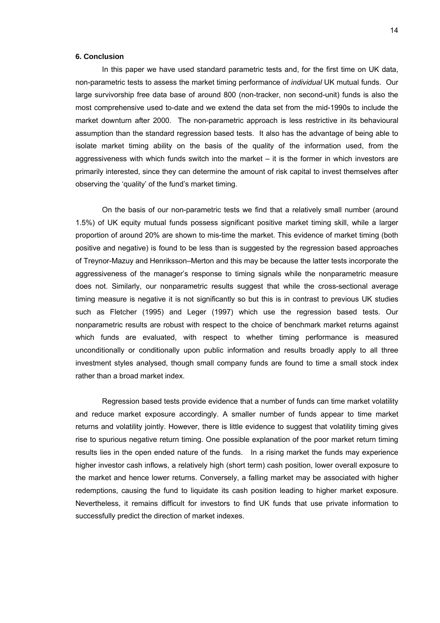#### **6. Conclusion**

In this paper we have used standard parametric tests and, for the first time on UK data, non-parametric tests to assess the market timing performance of *individual* UK mutual funds. Our large survivorship free data base of around 800 (non-tracker, non second-unit) funds is also the most comprehensive used to-date and we extend the data set from the mid-1990s to include the market downturn after 2000. The non-parametric approach is less restrictive in its behavioural assumption than the standard regression based tests. It also has the advantage of being able to isolate market timing ability on the basis of the quality of the information used, from the aggressiveness with which funds switch into the market – it is the former in which investors are primarily interested, since they can determine the amount of risk capital to invest themselves after observing the 'quality' of the fund's market timing.

On the basis of our non-parametric tests we find that a relatively small number (around 1.5%) of UK equity mutual funds possess significant positive market timing skill, while a larger proportion of around 20% are shown to mis-time the market. This evidence of market timing (both positive and negative) is found to be less than is suggested by the regression based approaches of Treynor-Mazuy and Henriksson–Merton and this may be because the latter tests incorporate the aggressiveness of the manager's response to timing signals while the nonparametric measure does not. Similarly, our nonparametric results suggest that while the cross-sectional average timing measure is negative it is not significantly so but this is in contrast to previous UK studies such as Fletcher (1995) and Leger (1997) which use the regression based tests. Our nonparametric results are robust with respect to the choice of benchmark market returns against which funds are evaluated, with respect to whether timing performance is measured unconditionally or conditionally upon public information and results broadly apply to all three investment styles analysed, though small company funds are found to time a small stock index rather than a broad market index.

Regression based tests provide evidence that a number of funds can time market volatility and reduce market exposure accordingly. A smaller number of funds appear to time market returns and volatility jointly. However, there is little evidence to suggest that volatility timing gives rise to spurious negative return timing. One possible explanation of the poor market return timing results lies in the open ended nature of the funds. In a rising market the funds may experience higher investor cash inflows, a relatively high (short term) cash position, lower overall exposure to the market and hence lower returns. Conversely, a falling market may be associated with higher redemptions, causing the fund to liquidate its cash position leading to higher market exposure. Nevertheless, it remains difficult for investors to find UK funds that use private information to successfully predict the direction of market indexes.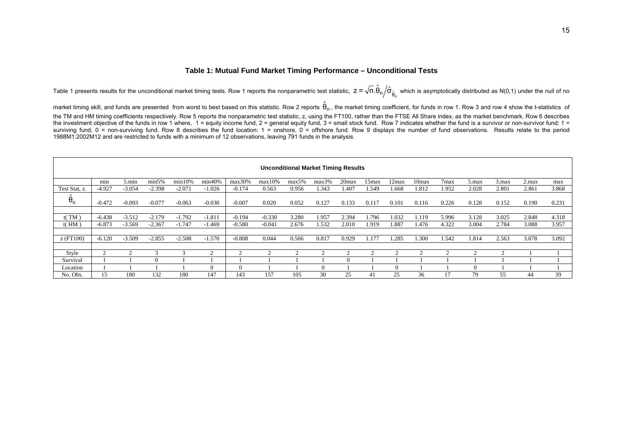#### **Table 1: Mutual Fund Market Timing Performance – Unconditional Tests**

Table 1 presents results for the unconditional market timing tests. Row 1 reports the nonparametric test statistic,  $z$  =  $\sqrt{n}.\hat{\theta}_{\text{n}}/\hat{\sigma}_{\hat{\theta}_{\text{n}}}$  which is asymptotically distributed as N(0,1) under the null of no

market timing skill, and funds are presented from worst to best based on this statistic. Row 2 reports  $\hat{\theta}_n$ , the market timing coefficient, for funds in row 1. Row 3 and row 4 show the t-statistics of

the TM and HM timing coefficients respectively. Row 5 reports the nonparametric test statistic, z, using the FT100, rather than the FTSE All Share index, as the market benchmark. Row 6 describes the investment objective of the funds in row 1 where, 1 = equity income fund, 2 = general equity fund, 3 = small stock fund. Row 7 indicates whether the fund is a survivor or non-survivor fund: 1 = surviving fund,  $0 =$  non-surviving fund. Row 8 describes the fund location: 1 = onshore, 0 = offshore fund. Row 9 displays the number of fund observations. Results relate to the period 1988M1:2002M12 and are restricted to funds with a minimum of 12 observations, leaving 791 funds in the analysis.

|               | <b>Unconditional Market Timing Results</b> |                 |          |          |          |          |           |       |       |          |       |       |                   |                  |       |                 |       |       |
|---------------|--------------------------------------------|-----------------|----------|----------|----------|----------|-----------|-------|-------|----------|-------|-------|-------------------|------------------|-------|-----------------|-------|-------|
|               | min                                        | $5 \text{ min}$ | min5%    | min10%   | min40%   | max30%   | $max10\%$ | max5% | max3% | $20$ max | 15max | 12max | 10 <sub>max</sub> | 7 <sub>max</sub> | 5.max | $3 \text{ max}$ | 2.max | max   |
| Test Stat, z. | $-4.927$                                   | $-3.054$        | $-2.398$ | $-2.071$ | $-1.026$ | $-0.174$ | 0.563     | 0.956 | 1.343 | 1.407    | .549  | 1.668 | 1.812             | 1.952            | 2.028 | 2.801           | 2.861 | 3.868 |
| $\theta_n$    | $-0.472$                                   | $-0.093$        | $-0.077$ | $-0.063$ | $-0.030$ | $-0.007$ | 0.020     | 0.052 | 0.127 | 0.133    | 0.117 | 0.101 | 0.116             | 0.226            | 0.128 | 0.152           | 0.190 | 0.231 |
|               |                                            |                 |          |          |          |          |           |       |       |          |       |       |                   |                  |       |                 |       |       |
| t(TM)         | $-6.438$                                   | $-3.512$        | $-2.179$ | $-1.792$ | $-1.811$ | $-0.194$ | $-0.330$  | 3.280 | 1.957 | 2.394    | l.796 | 1.032 | .119              | 5.996            | 3.128 | 3.025           | 2.848 | 4.318 |
| $t$ ( $HM$ )  | $-6.873$                                   | $-3.569$        | $-2.367$ | $-1.747$ | $-1.469$ | $-0.580$ | $-0.041$  | 2.676 | 1.532 | 2.010    | 1.919 | l.887 | 1.476             | 4.322            | 3.004 | 2.784           | 3.088 | 3.957 |
|               |                                            |                 |          |          |          |          |           |       |       |          |       |       |                   |                  |       |                 |       |       |
| $Z$ (FT100)   | $-6.120$                                   | $-3.509$        | $-2.855$ | $-2.508$ | $-1.570$ | $-0.808$ | 0.044     | 0.566 | 0.817 | 0.929    | l.177 | 1.285 | .300              | 1.542            | 1.814 | 2.563           | 3.078 | 3.092 |
|               |                                            |                 |          |          |          |          |           |       |       |          |       |       |                   |                  |       |                 |       |       |
| Style         |                                            |                 |          |          |          |          |           |       |       |          |       |       |                   |                  |       |                 |       |       |
| Survival      |                                            |                 |          |          |          |          |           |       |       |          |       |       |                   |                  |       |                 |       |       |
| Location      |                                            |                 |          |          | $\Omega$ |          |           |       |       |          |       |       |                   |                  |       |                 |       |       |
| No. Obs.      | 15                                         | 180             | 132      | 180      | 147      | 143      | 157       | 105   | 30    | 25       | 41    | 25    | 36                |                  | 79    | 55              | 44    | 39    |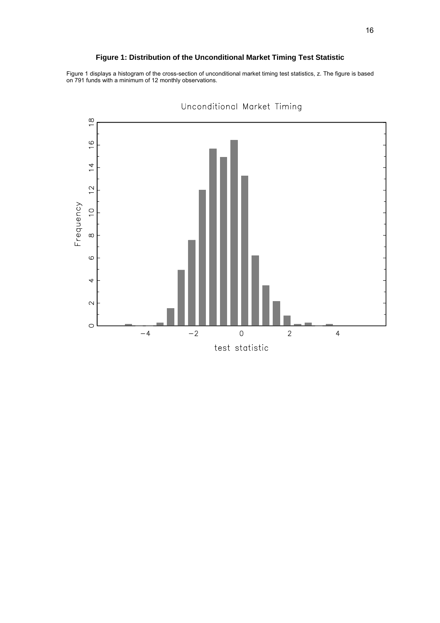#### **Figure 1: Distribution of the Unconditional Market Timing Test Statistic**

Figure 1 displays a histogram of the cross-section of unconditional market timing test statistics, z. The figure is based on 791 funds with a minimum of 12 monthly observations.



Unconditional Market Timing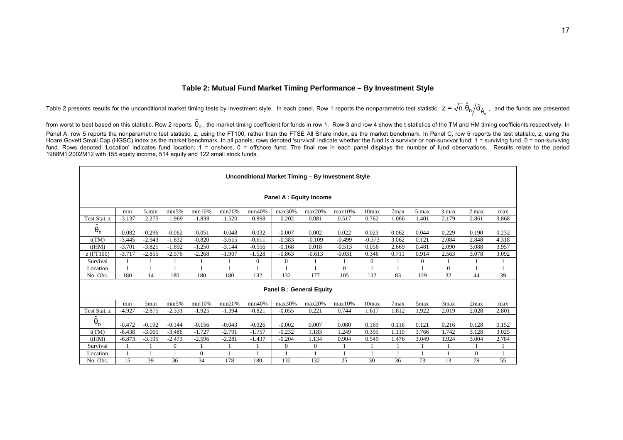#### **Table 2: Mutual Fund Market Timing Performance – By Investment Style**

Table 2 presents results for the unconditional market timing tests by investment style. In each panel, Row 1 reports the nonparametric test statistic,  $z$  =  $\sqrt$ n.U<sub>n $/$ </sub>O $_{\hat{\theta}_{\text{n}}}$  $z = \sqrt{n}.\hat{\theta}_n/\hat{\sigma}_{\hat{\delta}}$ , and the funds are presented

from worst to best based on this statistic. Row 2 reports  $\hat{\theta}_\text{n}$  , the market timing coefficient for funds in row 1. Row 3 and row 4 show the t-statistics of the TM and HM timing coefficients respectively. In Panel A, row 5 reports the nonparametric test statistic, z, using the FT100, rather than the FTSE All Share index, as the market benchmark. In Panel C, row 5 reports the test statistic, z, using the Hoare Govett Small Cap (HGSC) index as the market benchmark. In all panels, rows denoted 'survival' indicate whether the fund is a survivor or non-survivor fund: 1 = surviving fund, 0 = non-surviving fund. Rows denoted 'Location' indicates fund location: 1 = onshore, 0 = offshore fund. The final row in each panel displays the number of fund observations. Results relate to the period 1988M1:2002M12 with 155 equity income, 514 equity and 122 small stock funds.

|                                | Unconditional Market Timing - By Investment Style                                                                                         |          |                |          |          |                  |                |              |          |                   |       |                  |          |          |       |
|--------------------------------|-------------------------------------------------------------------------------------------------------------------------------------------|----------|----------------|----------|----------|------------------|----------------|--------------|----------|-------------------|-------|------------------|----------|----------|-------|
| <b>Panel A: Equity Income</b>  |                                                                                                                                           |          |                |          |          |                  |                |              |          |                   |       |                  |          |          |       |
|                                | min5%<br>min<br>5.min<br>min10%<br>min20%<br>max30%<br>7 <sub>max</sub><br>2.max<br>min40%<br>max10%<br>10max<br>3.max<br>max20%<br>5.max |          |                |          |          |                  |                |              |          |                   |       |                  |          |          | max   |
| Test Stat, z                   | $-3.137$                                                                                                                                  | $-2.275$ | $-1.969$       | $-1.838$ | $-1.520$ | $-0.898$         | $-0.202$       | 0.081        | 0.517    | 0.762             | 1.066 | 1.401            | 2.179    | 2.861    | 3.868 |
| $\ddot{\theta}_n$              | $-0.082$                                                                                                                                  | $-0.296$ | $-0.062$       | $-0.051$ | $-0.048$ | $-0.032$         | $-0.007$       | 0.002        | 0.022    | 0.023             | 0.062 | 0.044            | 0.229    | 0.190    | 0.232 |
| t(TM)                          | $-3.445$                                                                                                                                  | $-2.943$ | $-1.832$       | $-0.820$ | $-3.615$ | $-0.611$         | $-0.383$       | $-0.109$     | $-0.499$ | $-0.373$          | 3.062 | 0.121            | 2.084    | 2.848    | 4.318 |
| t(HM)                          | $-3.701$                                                                                                                                  | $-3.821$ | $-1.892$       | $-1.250$ | $-3.144$ | $-0.556$         | $-0.168$       | 0.018        | $-0.513$ | 0.056             | 2.669 | 0.481            | 2.090    | 3.088    | 3.957 |
| z (FT100)                      | $-3.717$                                                                                                                                  | $-2.855$ | $-2.576$       | $-2.268$ | $-1.907$ | $-1.528$         | $-0.863$       | $-0.613$     | $-0.031$ | 0.346             | 0.711 | 0.914            | 2.563    | 3.078    | 3.092 |
| Survival                       |                                                                                                                                           |          |                |          |          | $\boldsymbol{0}$ | $\overline{0}$ |              |          | $\theta$          |       | $\boldsymbol{0}$ |          |          |       |
| Location                       |                                                                                                                                           |          |                |          |          |                  |                |              | $\Omega$ |                   |       | 1                | $\Omega$ |          |       |
| No. Obs.                       | 180                                                                                                                                       | 14       | 180            | 180      | 180      | 132              | 132            | 177          | 105      | 132               | 83    | 129              | 32       | 44       | 39    |
| <b>Panel B: General Equity</b> |                                                                                                                                           |          |                |          |          |                  |                |              |          |                   |       |                  |          |          |       |
|                                | min                                                                                                                                       | 5min     | min5%          | min10%   | min20%   | min40%           | max30%         | max20%       | max10%   | 10 <sub>max</sub> | 7max  | 5max             | 3max     | 2max     | max   |
| Test Stat, z                   | $-4.927$                                                                                                                                  | $-2.875$ | $-2.331$       | $-1.925$ | $-1.394$ | $-0.821$         | $-0.055$       | 0.221        | 0.744    | 1.617             | 1.812 | 1.922            | 2.019    | 2.028    | 2.801 |
| $\hat{\theta}_n$               | $-0.472$                                                                                                                                  | $-0.192$ | $-0.144$       | $-0.156$ | $-0.043$ | $-0.026$         | $-0.002$       | 0.007        | 0.080    | 0.169             | 0.116 | 0.121            | 0.216    | 0.128    | 0.152 |
| t(TM)                          | $-6.438$                                                                                                                                  | $-3.065$ | $-3.486$       | $-1.727$ | $-2.791$ | $-1.757$         | $-0.232$       | 1.183        | 1.249    | 0.395             | 1.119 | 3.766            | 1.742    | 3.128    | 3.025 |
| t(HM)                          | $-6.873$                                                                                                                                  | $-3.195$ | $-2.473$       | $-2.596$ | $-2.281$ | $-1.437$         | $-0.204$       | 1.134        | 0.904    | 0.549             | 1.476 | 3.049            | 1.924    | 3.004    | 2.784 |
| Survival                       |                                                                                                                                           |          | $\overline{0}$ |          |          |                  | $\overline{0}$ | $\mathbf{0}$ |          |                   |       |                  |          |          |       |
| Location                       |                                                                                                                                           |          |                | $\theta$ |          |                  |                |              |          |                   |       | $\mathbf{1}$     |          | $\theta$ |       |
| No. Obs.                       | 15                                                                                                                                        | 39       | 36             | 34       | 178      | 180              | 132            | 132          | 25       | 30                | 36    | 73               | 13       | 79       | 55    |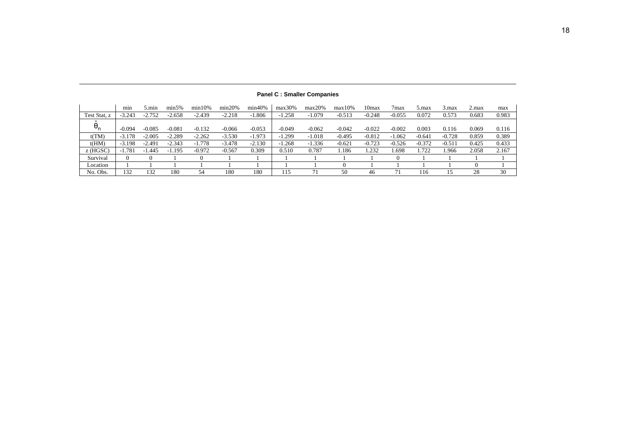|                                 | min           | 5.min    | min5%    | min10%   | min20%   | min40%   | max30%   | max20%   | $max10\%$ | 10 <sub>max</sub> | 7 <sub>max</sub> | 5.max    | $3 \text{ max}$ | 2.max | max   |
|---------------------------------|---------------|----------|----------|----------|----------|----------|----------|----------|-----------|-------------------|------------------|----------|-----------------|-------|-------|
| Test Stat, z                    | $-3.243$      | $-2.752$ | $-2.658$ | $-2.439$ | $-2.218$ | $-1.806$ | $-1.258$ | $-1.079$ | $-0.513$  | $-0.248$          | $-0.055$         | 0.072    | 0.573           | 0.683 | 0.983 |
| $\sim$<br>$\bm{\theta}_{\sf n}$ | $-0.094$      | $-0.085$ | $-0.081$ | $-0.132$ | $-0.066$ | $-0.053$ | $-0.049$ | $-0.062$ | $-0.042$  | $-0.022$          | $-0.002$         | 0.003    | 0.116           | 0.069 | 0.116 |
| t(TM)                           | $-3.178$      | $-2.005$ | $-2.289$ | $-2.262$ | $-3.530$ | $-1.973$ | $-1.299$ | $-1.018$ | $-0.495$  | $-0.812$          | $-1.062$         | $-0.641$ | $-0.728$        | 0.859 | 0.389 |
| t(HM)                           | $-3.198$      | $-2.491$ | $-2.343$ | $-1.778$ | $-3.478$ | $-2.130$ | $-1.268$ | $-1.336$ | $-0.621$  | $-0.723$          | $-0.526$         | $-0.372$ | $-0.511$        | 0.425 | 0.433 |
| $z$ (HGSC)                      | 1.781<br>- 11 | . 445    | .195     | $-0.972$ | $-0.567$ | 0.309    | 0.510    | 0.787    | .186      | .232              | .698             | 1.722    | .966            | 2.058 | 2.167 |
| Survival                        |               |          |          |          |          |          |          |          |           |                   |                  |          |                 |       |       |
| Location                        |               |          |          |          |          |          |          |          |           |                   |                  |          |                 |       |       |
| No. Obs.                        | 132           | 132      | 180      | 54       | 180      | 180      | 115      | 71       | 50        | 46                | 7 <sub>1</sub>   | 116      | 15              | 28    | 30    |

**Panel C : Smaller Companies**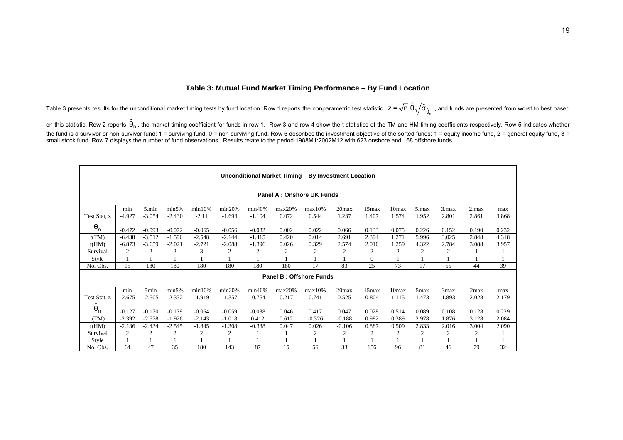#### **Table 3: Mutual Fund Market Timing Performance – By Fund Location**

Table 3 presents results for the unconditional market timing tests by fund location. Row 1 reports the nonparametric test statistic,  $\,$  z =  $\sqrt{n}.\hat{\theta}_{\rm n}/\hat{\sigma}_{\hat{\theta}_{\rm n}}\,$  , and funds are presented from worst to best ba

on this statistic. Row 2 reports  $\hat{\theta}_n$ , the market timing coefficient for funds in row 1. Row 3 and row 4 show the t-statistics of the TM and HM timing coefficients respectively. Row 5 indicates whether the fund is a survivor or non-survivor fund: 1 = surviving fund, 0 = non-surviving fund. Row 6 describes the investment objective of the sorted funds: 1 = equity income fund, 2 = general equity fund, 3 = small stock fund. Row 7 displays the number of fund observations. Results relate to the period 1988M1:2002M12 with 623 onshore and 168 offshore funds.

|                   | Unconditional Market Timing - By Investment Location                                                                                    |          |          |          |          |          |        |          |                |          |       |                  |       |                |       |
|-------------------|-----------------------------------------------------------------------------------------------------------------------------------------|----------|----------|----------|----------|----------|--------|----------|----------------|----------|-------|------------------|-------|----------------|-------|
|                   | <b>Panel A: Onshore UK Funds</b>                                                                                                        |          |          |          |          |          |        |          |                |          |       |                  |       |                |       |
|                   | min<br>5.min<br>min5%<br>min20%<br>min10%<br>min40%<br>max20%<br>20max<br>3.max<br>2.max<br>max10%<br>15max<br>10max<br>$5 \text{ max}$ |          |          |          |          |          |        |          |                |          |       |                  |       |                | max   |
| Test Stat, z      | $-4.927$                                                                                                                                | $-3.054$ | $-2.430$ | $-2.11$  | $-1.693$ | $-1.104$ | 0.072  | 0.544    | 1.237          | 1.407    | 1.574 | 1.952            | 2.801 | 2.861          | 3.868 |
| $\ddot{\theta}_n$ | $-0.472$                                                                                                                                | $-0.093$ | $-0.072$ | $-0.065$ | $-0.056$ | $-0.032$ | 0.002  | 0.022    | 0.066          | 0.133    | 0.075 | 0.226            | 0.152 | 0.190          | 0.232 |
| t(TM)             | $-6.438$                                                                                                                                | $-3.512$ | $-1.596$ | $-2.548$ | $-2.144$ | $-1.415$ | 0.420  | 0.014    | 2.691          | 2.394    | 1.271 | 5.996            | 3.025 | 2.848          | 4.318 |
| t(HM)             | $-6.873$                                                                                                                                | $-3.659$ | $-2.021$ | $-2.721$ | $-2.088$ | $-1.396$ | 0.026  | 0.329    | 2.574          | 2.010    | 1.259 | 4.322            | 2.784 | 3.088          | 3.957 |
| Survival          | 2                                                                                                                                       | 2        | 2        | 3        | 2        | 2        | 2      | 2        | 2              | 2        | 2     | 2                | 2     |                |       |
| Style             |                                                                                                                                         |          |          |          |          |          |        |          |                | $\Omega$ |       |                  |       |                |       |
| No. Obs.          | 15                                                                                                                                      | 180      | 180      | 180      | 180      | 180      | 180    | 17       | 83             | 25       | 73    | 17               | 55    | 44             | 39    |
|                   | <b>Panel B: Offshore Funds</b>                                                                                                          |          |          |          |          |          |        |          |                |          |       |                  |       |                |       |
|                   | min                                                                                                                                     | 5min     | min5%    | min10%   | min20%   | min40%   | max20% | max10%   | 20max          | 15max    | 10max | 5 <sub>max</sub> | 3max  | 2max           | max   |
| Test Stat, z      | $-2.675$                                                                                                                                | $-2.505$ | $-2.332$ | $-1.919$ | $-1.357$ | $-0.754$ | 0.217  | 0.741    | 0.525          | 0.804    | 1.115 | 1.473            | 1.893 | 2.028          | 2.179 |
| $\hat{\theta}_n$  | $-0.127$                                                                                                                                | $-0.170$ | $-0.179$ | $-0.064$ | $-0.059$ | $-0.038$ | 0.046  | 0.417    | 0.047          | 0.028    | 0.514 | 0.089            | 0.108 | 0.128          | 0.229 |
| t(TM)             | $-2.392$                                                                                                                                | $-2.578$ | $-1.926$ | $-2.143$ | $-1.018$ | 0.412    | 0.612  | $-0.326$ | $-0.188$       | 0.982    | 0.389 | 2.978            | 1.876 | 3.128          | 2.084 |
| t(HM)             | $-2.136$                                                                                                                                | $-2.434$ | $-2.545$ | $-1.845$ | $-1.308$ | $-0.338$ | 0.047  | 0.026    | $-0.106$       | 0.887    | 0.509 | 2.833            | 2.016 | 3.004          | 2.090 |
| Survival          | 2                                                                                                                                       | 2        | 2        | 2        | 2        |          |        | 2        | $\overline{2}$ | 2        | 2     | 2                | 2     | $\overline{2}$ |       |
| Style             |                                                                                                                                         |          |          |          |          |          |        |          |                |          |       |                  |       |                |       |
| No. Obs.          | 64                                                                                                                                      | 47       | 35       | 180      | 143      | 87       | 15     | 56       | 33             | 156      | 96    | 81               | 46    | 79             | 32    |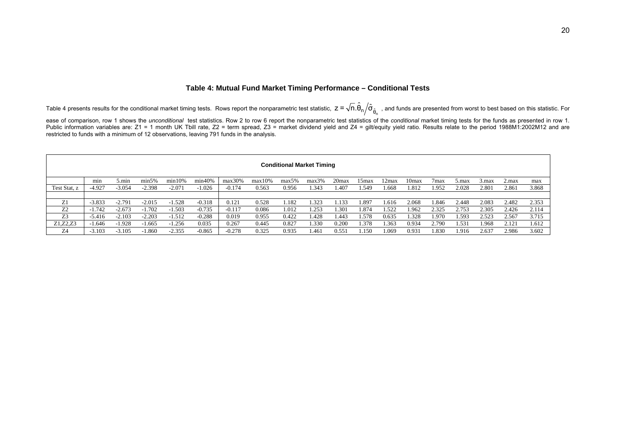#### **Table 4: Mutual Fund Market Timing Performance – Conditional Tests**

Table 4 presents results for the conditional market timing tests. Rows report the nonparametric test statistic,  $z$  =  $\sqrt{n}.\hat{\theta}_{\text{n}}/\hat{\sigma}_{\hat{\theta}_{\text{n}}}$  , and funds are presented from worst to best based on this statistic. For

ease of comparison, row 1 shows the *unconditional* test statistics. Row 2 to row 6 report the nonparametric test statistics of the *conditional* market timing tests for the funds as presented in row 1. Public information variables are: Z1 = 1 month UK Tbill rate, Z2 = term spread, Z3 = market dividend yield and Z4 = gilt/equity yield ratio. Results relate to the period 1988M1:2002M12 and are restricted to funds with a minimum of 12 observations, leaving 791 funds in the analysis.

|                | <b>Conditional Market Timing</b> |          |          |           |          |          |        |       |       |       |         |       |       |                  |        |       |       |       |
|----------------|----------------------------------|----------|----------|-----------|----------|----------|--------|-------|-------|-------|---------|-------|-------|------------------|--------|-------|-------|-------|
|                | min                              | 5.min    | min5%    | $min10\%$ | min40%   | max30%   | max10% | max5% | max3% | 20max | 15max   | 2max  | 10max | 7 <sub>max</sub> | .max   | 3.max | 2.max | max   |
| Test Stat, z   | -4.927                           | $-3.054$ | $-2.398$ | $-2.071$  | $-1.026$ | $-0.174$ | 0.563  | 0.956 | .343  | 1.407 | .549    | 1.668 | 1.812 | 1.952            | 2.028  | 2.801 | 2.861 | 3.868 |
|                |                                  |          |          |           |          |          |        |       |       |       |         |       |       |                  |        |       |       |       |
| Z <sub>1</sub> | $-3.833$                         | $-2.791$ | $-2.015$ | $-1.528$  | $-0.318$ | 0.121    | 0.528  | .182  | .323  | .133  | .897    | 1.616 | 2.068 | .846             | 2.448  | 2.083 | 2.482 | 2.353 |
| Z <sub>2</sub> | $-1.742$                         | $-2.673$ | $-1.702$ | 1.503     | $-0.735$ | $-0.117$ | 0.086  | 1.012 | .253  | 1.301 | .874    | 1.522 | 1.962 | 2.325            | 2.753  | 2.305 | 2.426 | 2.114 |
| Z <sub>3</sub> | $-5.416$                         | $-2.103$ | $-2.203$ | $-1.512$  | $-0.288$ | 0.019    | 0.955  | 0.422 | 1.428 | 1.443 | .578    | 0.635 | .328  | .970             | .593   | 2.523 | 2.567 | 3.715 |
| Z1, Z2, Z3     | $-1.646$                         | $-1.928$ | $-1.665$ | $-1.256$  | 0.035    | 0.267    | 0.445  | 0.827 | .330  | 0.200 | 1.378   | .363  | 0.934 | 2.790            | . .531 | .968  | 2.121 | 1.612 |
| Z4             | $-3.103$                         | $-3.105$ | 1.860    | $-2.355$  | $-0.865$ | $-0.278$ | 0.325  | 0.935 | 1.461 | 0.551 | . . 150 | 1.069 | 0.931 | .830             | 1.916  | 2.637 | 2.986 | 3.602 |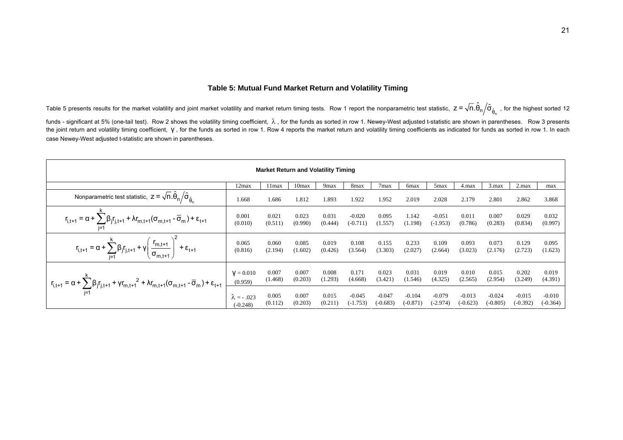#### **Table 5: Mutual Fund Market Return and Volatility Timing**

Table 5 presents results for the market volatility and joint market volatility and market return timing tests. Row 1 report the nonparametric test statistic,  $z$  =  $\sqrt{n}.\hat{\theta}_n/\hat{\sigma}_{\hat{\theta}_n}$  , for the highest sorted 12

funds - significant at 5% (one-tail test). Row 2 shows the volatility timing coefficient, λ, for the funds as sorted in row 1. Newey-West adjusted t-statistic are shown in parentheses. Row 3 presents the joint return and volatility timing coefficient, γ, for the funds as sorted in row 1. Row 4 reports the market return and volatility timing coefficients as indicated for funds as sorted in row 1. In each case Newey-West adjusted t-statistic are shown in parentheses.

| <b>Market Return and Volatility Timing</b>                                                                                                                                                                                                                                                                                       |                    |         |         |         |            |                  |                  |            |            |          |            |            |  |
|----------------------------------------------------------------------------------------------------------------------------------------------------------------------------------------------------------------------------------------------------------------------------------------------------------------------------------|--------------------|---------|---------|---------|------------|------------------|------------------|------------|------------|----------|------------|------------|--|
|                                                                                                                                                                                                                                                                                                                                  | 12max              | 11 max  | 10max   | 9max    | 8max       | 7 <sub>max</sub> | 6 <sub>max</sub> | 5max       | 4.max      | 3.max    | 2.max      | max        |  |
| Nonparametric test statistic, $z = \sqrt{n}.\hat{\theta}_n / \hat{\sigma}_{\hat{\theta}_n}$                                                                                                                                                                                                                                      | 1.668              | 1.686   | 1.812   | 1.893   | 1.922      | 1.952            | 2.019            | 2.028      | 2.179      | 2.801    | 2.862      | 3.868      |  |
| $\mathbf{r}_{\mathsf{i},\mathsf{t}+\mathsf{1}} = \alpha + \sum_{\mathsf{i}=\mathsf{1}} \beta_\mathsf{j} \mathbf{r}_{\mathsf{j},\mathsf{t}+\mathsf{1}} + \lambda \mathbf{r}_{\mathsf{m},\mathsf{t}+\mathsf{1}} (\sigma_{\mathsf{m},\mathsf{t}+\mathsf{1}} \cdot \overline{\sigma}_\mathsf{m}) + \epsilon_{\mathsf{t}+\mathsf{1}}$ | 0.001              | 0.021   | 0.023   | 0.031   | $-0.020$   | 0.095            | 1.142            | $-0.051$   | 0.011      | 0.007    | 0.029      | 0.032      |  |
|                                                                                                                                                                                                                                                                                                                                  | (0.010)            | (0.511) | (0.990) | (0.444) | $(-0.711)$ | (1.557)          | (1.198)          | $(-1.953)$ | (0.786)    | (0.283)  | (0.834)    | (0.997)    |  |
| $r_{i,t+1} = \alpha + \sum_{j=1}^{k} \beta_j r_{j,t+1} + \gamma \left( \frac{r_{m,t+1}}{\sigma_{m,t+1}} \right)^2 + \varepsilon_{t+1}$                                                                                                                                                                                           | 0.065              | 0.060   | 0.085   | 0.019   | 0.108      | 0.155            | 0.233            | 0.109      | 0.093      | 0.073    | 0.129      | 0.095      |  |
|                                                                                                                                                                                                                                                                                                                                  | (0.816)            | (2.194) | (1.602) | (0.426) | (3.564)    | (3.303)          | (2.027)          | (2.664)    | (3.023)    | (2.176)  | (2.723)    | (1.623)    |  |
| $r_{i,t+1} = \alpha + \sum_{i=1}^{K} \beta_j r_{j,t+1} + \gamma r_{m,t+1}^2 + \lambda r_{m,t+1} (\sigma_{m,t+1} - \overline{\sigma}_m) + \varepsilon_{t+1}$                                                                                                                                                                      | $V = 0.010$        | 0.007   | 0.007   | 0.008   | 0.171      | 0.023            | 0.031            | 0.019      | 0.010      | 0.015    | 0.202      | 0.019      |  |
|                                                                                                                                                                                                                                                                                                                                  | (0.959)            | (1.468) | (0.203) | (1.293) | (4.668)    | (3.421)          | (1.546)          | (4.325)    | (2.565)    | (2.954)  | (3.249)    | (4.391)    |  |
|                                                                                                                                                                                                                                                                                                                                  | $\lambda = -0.023$ | 0.005   | 0.007   | 0.015   | $-0.045$   | $-0.047$         | $-0.104$         | $-0.079$   | $-0.013$   | $-0.024$ | $-0.015$   | $-0.010$   |  |
|                                                                                                                                                                                                                                                                                                                                  | $(-0.248)$         | (0.112) | (0.203) | (0.211) | (-1.753)   | $(-0.683)$       | $(-0.871)$       | (-2.974)   | $(-0.623)$ | (-0.805) | $(-0.392)$ | $(-0.364)$ |  |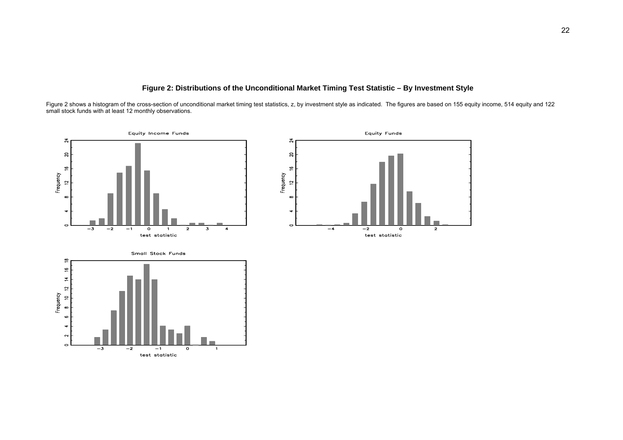#### **Figure 2: Distributions of the Unconditional Market Timing Test Statistic – By Investment Style**

Figure 2 shows a histogram of the cross-section of unconditional market timing test statistics, z, by investment style as indicated. The figures are based on 155 equity income, 514 equity and 122 small stock funds with at least 12 monthly observations.

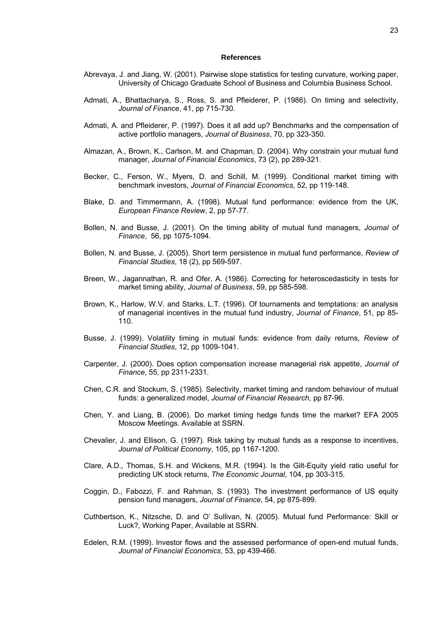#### **References**

- Abrevaya, J. and Jiang, W. (2001). Pairwise slope statistics for testing curvature, working paper, University of Chicago Graduate School of Business and Columbia Business School.
- Admati, A., Bhattacharya, S., Ross, S. and Pfleiderer, P. (1986). On timing and selectivity, *Journal of Finance*, 41, pp 715-730.
- Admati, A. and Pfleiderer, P. (1997). Does it all add up? Benchmarks and the compensation of active portfolio managers, *Journal of Business*, 70, pp 323-350.
- Almazan, A., Brown, K., Carlson, M. and Chapman, D. (2004). Why constrain your mutual fund manager, *Journal of Financial Economics*, 73 (2), pp 289-321.
- Becker, C., Ferson, W., Myers, D. and Schill, M. (1999). Conditional market timing with benchmark investors, *Journal of Financial Economics*, 52, pp 119-148.
- Blake, D. and Timmermann, A. (1998). Mutual fund performance: evidence from the UK, *European Finance Review*, 2, pp 57-77.
- Bollen, N. and Busse, J. (2001). On the timing ability of mutual fund managers, *Journal of Finance*, 56, pp 1075-1094.
- Bollen, N. and Busse, J. (2005). Short term persistence in mutual fund performance, *Review of Financial Studies*, 18 (2), pp 569-597.
- Breen, W., Jagannathan, R. and Ofer, A. (1986). Correcting for heteroscedasticity in tests for market timing ability, *Journal of Business*, 59, pp 585-598.
- Brown, K., Harlow, W.V. and Starks, L.T. (1996). Of tournaments and temptations: an analysis of managerial incentives in the mutual fund industry, *Journal of Finance*, 51, pp 85- 110.
- Busse, J. (1999). Volatility timing in mutual funds: evidence from daily returns, *Review of Financial Studies*, 12, pp 1009-1041.
- Carpenter, J. (2000). Does option compensation increase managerial risk appetite, *Journal of Finance*, 55, pp 2311-2331.
- Chen, C.R. and Stockum, S. (1985). Selectivity, market timing and random behaviour of mutual funds: a generalized model, *Journal of Financial Research*, pp 87-96.
- Chen, Y. and Liang, B. (2006). Do market timing hedge funds time the market? EFA 2005 Moscow Meetings. Available at SSRN.
- Chevalier, J. and Ellison, G. (1997). Risk taking by mutual funds as a response to incentives, *Journal of Political Economy*, 105, pp 1167-1200.
- Clare, A.D., Thomas, S.H. and Wickens, M.R. (1994). Is the Gilt-Equity yield ratio useful for predicting UK stock returns, *The Economic Journal*, 104, pp 303-315.
- Coggin, D., Fabozzi, F. and Rahman, S. (1993). The investment performance of US equity pension fund managers, *Journal of Finance*, 54, pp 875-899.
- Cuthbertson, K., Nitzsche, D. and O' Sullivan, N. (2005). Mutual fund Performance: Skill or Luck?, Working Paper, Available at SSRN.
- Edelen, R.M. (1999). Investor flows and the assessed performance of open-end mutual funds, *Journal of Financial Economics*, 53, pp 439-466.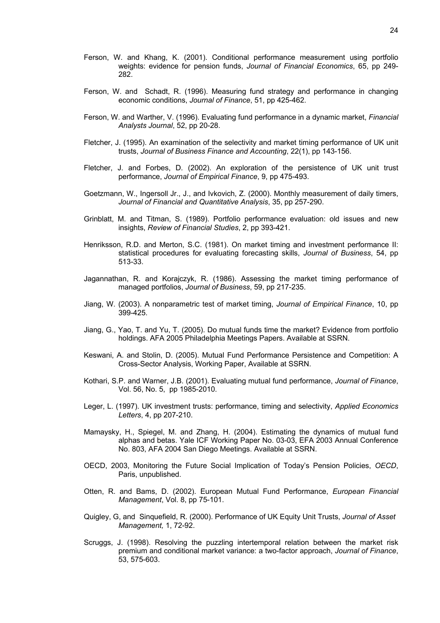- Ferson, W. and Khang, K. (2001). Conditional performance measurement using portfolio weights: evidence for pension funds, *Journal of Financial Economics*, 65, pp 249- 282.
- Ferson, W. and Schadt, R. (1996). Measuring fund strategy and performance in changing economic conditions, *Journal of Finance*, 51, pp 425-462.
- Ferson, W. and Warther, V. (1996). Evaluating fund performance in a dynamic market, *Financial Analysts Journal*, 52, pp 20-28.
- Fletcher, J. (1995). An examination of the selectivity and market timing performance of UK unit trusts, *Journal of Business Finance and Accounting*, 22(1), pp 143-156.
- Fletcher, J. and Forbes, D. (2002). An exploration of the persistence of UK unit trust performance, *Journal of Empirical Finance*, 9, pp 475-493.
- Goetzmann, W., Ingersoll Jr., J., and Ivkovich, Z. (2000). Monthly measurement of daily timers, *Journal of Financial and Quantitative Analysis*, 35, pp 257-290.
- Grinblatt, M. and Titman, S. (1989). Portfolio performance evaluation: old issues and new insights, *Review of Financial Studies*, 2, pp 393-421.
- Henriksson, R.D. and Merton, S.C. (1981). On market timing and investment performance II: statistical procedures for evaluating forecasting skills, *Journal of Business*, 54, pp 513-33.
- Jagannathan, R. and Korajczyk, R. (1986). Assessing the market timing performance of managed portfolios, *Journal of Business*, 59, pp 217-235.
- Jiang, W. (2003). A nonparametric test of market timing, *Journal of Empirical Finance*, 10, pp 399-425.
- Jiang, G., Yao, T. and Yu, T. (2005). Do mutual funds time the market? Evidence from portfolio holdings. AFA 2005 Philadelphia Meetings Papers. Available at SSRN.
- Keswani, A. and Stolin, D. (2005). Mutual Fund Performance Persistence and Competition: A Cross-Sector Analysis, Working Paper, Available at SSRN.
- Kothari, S.P. and Warner, J.B. (2001). Evaluating mutual fund performance, *Journal of Finance*, Vol. 56, No. 5, pp 1985-2010.
- Leger, L. (1997). UK investment trusts: performance, timing and selectivity, *Applied Economics Letters*, 4, pp 207-210.
- Mamaysky, H., Spiegel, M. and Zhang, H. (2004). Estimating the dynamics of mutual fund alphas and betas. Yale ICF Working Paper No. 03-03, EFA 2003 Annual Conference No. 803, AFA 2004 San Diego Meetings. Available at SSRN.
- OECD, 2003, Monitoring the Future Social Implication of Today's Pension Policies, *OECD*, Paris, unpublished.
- Otten, R. and Bams, D. (2002). European Mutual Fund Performance, *European Financial Management*, Vol. 8, pp 75-101.
- Quigley, G, and Sinquefield, R. (2000). Performance of UK Equity Unit Trusts, *Journal of Asset Management,* 1, 72-92.
- Scruggs, J. (1998). Resolving the puzzling intertemporal relation between the market risk premium and conditional market variance: a two-factor approach, *Journal of Finance*, 53, 575-603.